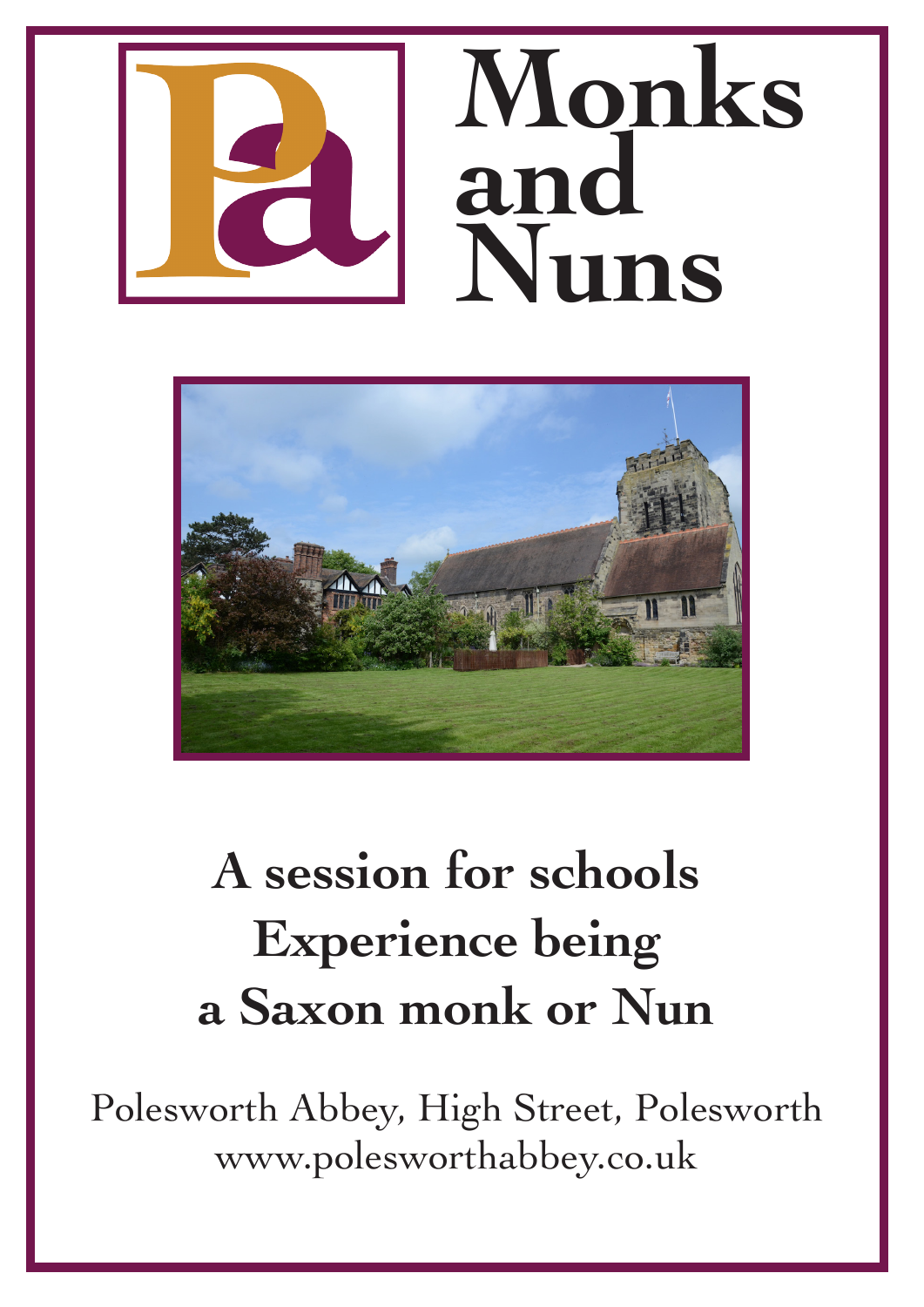



# **A session for schools Experience being a Saxon monk or Nun**

Polesworth Abbey, High Street, Polesworth www.polesworthabbey.co.uk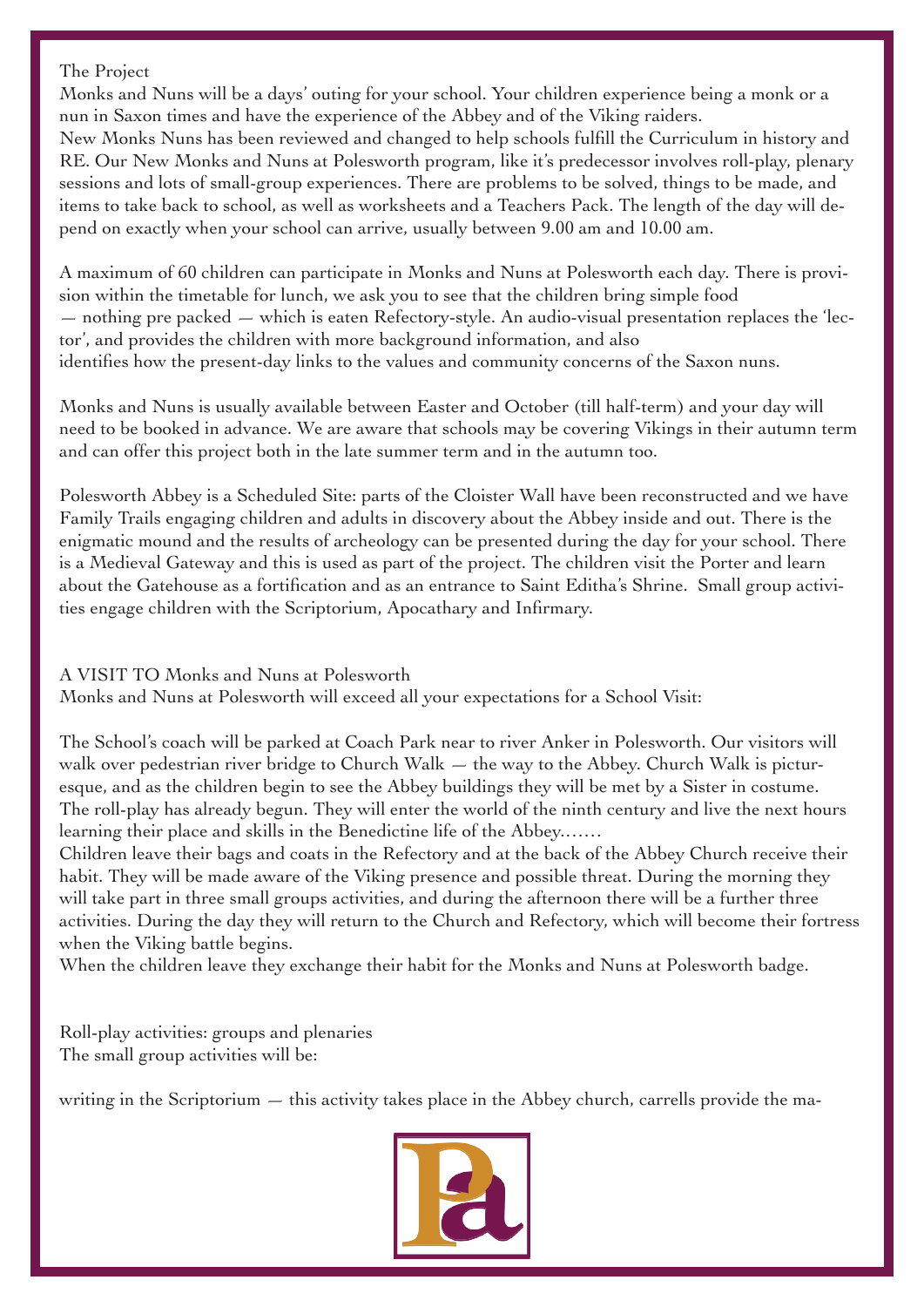#### The Project

Monks and Nuns will be a days' outing for your school. Your children experience being a monk or a nun in Saxon times and have the experience of the Abbey and of the Viking raiders. New Monks Nuns has been reviewed and changed to help schools fulfill the Curriculum in history and RE. Our New Monks and Nuns at Polesworth program, like it's predecessor involves roll-play, plenary sessions and lots of small-group experiences. There are problems to be solved, things to be made, and items to take back to school, as well as worksheets and a Teachers Pack. The length of the day will depend on exactly when your school can arrive, usually between 9.00 am and 10.00 am.

A maximum of 60 children can participate in Monks and Nuns at Polesworth each day. There is provision within the timetable for lunch, we ask you to see that the children bring simple food  $-$  nothing pre packed  $-$  which is eaten Refectory-style. An audio-visual presentation replaces the 'lector', and provides the children with more background information, and also identifies how the present-day links to the values and community concerns of the Saxon nuns.

Monks and Nuns is usually available between Easter and October (till half-term) and your day will need to be booked in advance. We are aware that schools may be covering Vikings in their autumn term and can offer this project both in the late summer term and in the autumn too.

Polesworth Abbey is a Scheduled Site: parts of the Cloister Wall have been reconstructed and we have Family Trails engaging children and adults in discovery about the Abbey inside and out. There is the enigmatic mound and the results of archeology can be presented during the day for your school. There is a Medieval Gateway and this is used as part of the project. The children visit the Porter and learn about the Gatehouse as a fortification and as an entrance to Saint Editha's Shrine. Small group activities engage children with the Scriptorium, Apocathary and Infirmary.

## A VISIT TO Monks and Nuns at Polesworth

Monks and Nuns at Polesworth will exceed all your expectations for a School Visit:

The School's coach will be parked at Coach Park near to river Anker in Polesworth. Our visitors will walk over pedestrian river bridge to Church Walk  $-$  the way to the Abbey. Church Walk is picturesque, and as the children begin to see the Abbey buildings they will be met by a Sister in costume. The roll-play has already begun. They will enter the world of the ninth century and live the next hours learning their place and skills in the Benedictine life of the Abbey.……

Children leave their bags and coats in the Refectory and at the back of the Abbey Church receive their habit. They will be made aware of the Viking presence and possible threat. During the morning they will take part in three small groups activities, and during the afternoon there will be a further three activities. During the day they will return to the Church and Refectory, which will become their fortress when the Viking battle begins.

When the children leave they exchange their habit for the Monks and Nuns at Polesworth badge.

Roll-play activities: groups and plenaries The small group activities will be:

writing in the Scriptorium  $-$  this activity takes place in the Abbey church, carrells provide the ma-

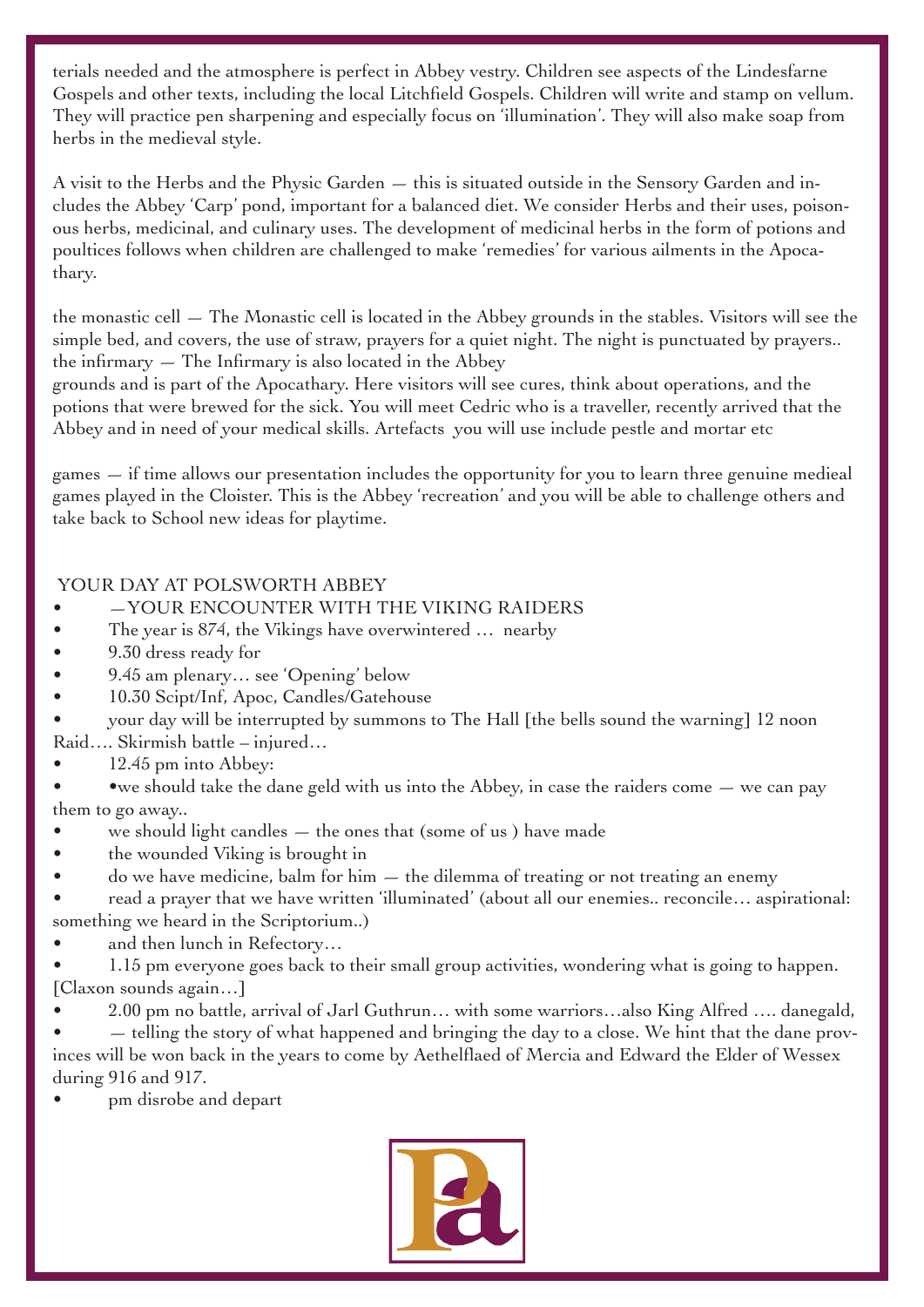terials needed and the atmosphere is perfect in Abbey vestry. Children see aspects of the Lindesfarne Gospels and other texts, including the local Litchfield Gospels. Children will write and stamp on vellum. They will practice pen sharpening and especially focus on 'illumination'. They will also make soap from herbs in the medieval style.

A visit to the Herbs and the Physic Garden — this is situated outside in the Sensory Garden and includes the Abbey 'Carp' pond, important for a balanced diet. We consider Herbs and their uses, poisonous herbs, medicinal, and culinary uses. The development of medicinal herbs in the form of potions and poultices follows when children are challenged to make 'remedies' for various ailments in the Apocathary.

the monastic cell  $-$  The Monastic cell is located in the Abbey grounds in the stables. Visitors will see the simple bed, and covers, the use of straw, prayers for a quiet night. The night is punctuated by prayers.. the infirmary  $-$  The Infirmary is also located in the Abbey

grounds and is part of the Apocathary. Here visitors will see cures, think about operations, and the potions that were brewed for the sick. You will meet Cedric who is a traveller, recently arrived that the Abbey and in need of your medical skills. Artefacts you will use include pestle and mortar etc

games — if time allows our presentation includes the opportunity for you to learn three genuine medieal games played in the Cloister. This is the Abbey 'recreation' and you will be able to challenge others and take back to School new ideas for playtime.

#### YOUR DAY AT POLSWORTH ABBEY

- —YOUR ENCOUNTER WITH THE VIKING RAIDERS
- The year is 874, the Vikings have overwintered ... nearby
- 9.30 dress ready for
- 9.45 am plenary… see 'Opening' below
- 10.30 Scipt/Inf, Apoc, Candles/Gatehouse
- your day will be interrupted by summons to The Hall [the bells sound the warning] 12 noon Raid…. Skirmish battle – injured…
- 12.45 pm into Abbey:

• we should take the dane geld with us into the Abbey, in case the raiders come  $-$  we can pay them to go away..

- we should light candles  $-$  the ones that (some of us) have made
- the wounded Viking is brought in
- do we have medicine, balm for him  $-$  the dilemma of treating or not treating an enemy

• read a prayer that we have written 'illuminated' (about all our enemies.. reconcile… aspirational: something we heard in the Scriptorium..)

and then lunch in Refectory...

• 1.15 pm everyone goes back to their small group activities, wondering what is going to happen. [Claxon sounds again…]

• 2.00 pm no battle, arrival of Jarl Guthrun… with some warriors…also King Alfred …. danegald,

 $-$  telling the story of what happened and bringing the day to a close. We hint that the dane provinces will be won back in the years to come by Aethelflaed of Mercia and Edward the Elder of Wessex during 916 and 917.

• pm disrobe and depart

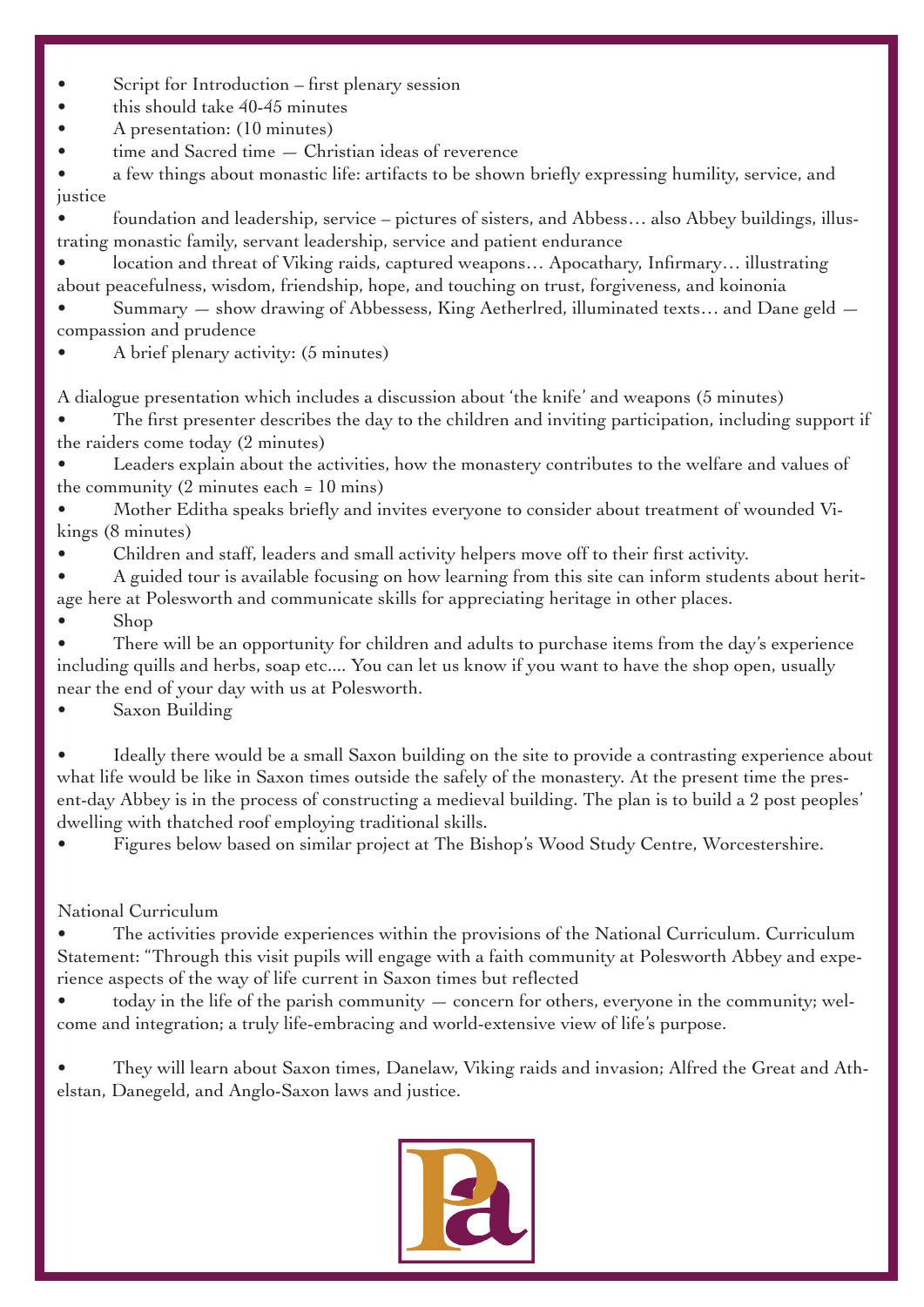- Script for Introduction first plenary session
- this should take 40-45 minutes
- A presentation: (10 minutes)
- $time$  and Sacred time  $-$  Christian ideas of reverence

• a few things about monastic life: artifacts to be shown briefly expressing humility, service, and justice

• foundation and leadership, service – pictures of sisters, and Abbess… also Abbey buildings, illustrating monastic family, servant leadership, service and patient endurance

• location and threat of Viking raids, captured weapons… Apocathary, Infirmary… illustrating about peacefulness, wisdom, friendship, hope, and touching on trust, forgiveness, and koinonia

Summary  $-$  show drawing of Abbessess, King Aetherlred, illuminated texts... and Dane geld  $$ compassion and prudence

• A brief plenary activity: (5 minutes)

A dialogue presentation which includes a discussion about 'the knife' and weapons (5 minutes)

The first presenter describes the day to the children and inviting participation, including support if the raiders come today (2 minutes)

Leaders explain about the activities, how the monastery contributes to the welfare and values of the community  $(2 \text{ minutes each} = 10 \text{ mins})$ 

• Mother Editha speaks briefly and invites everyone to consider about treatment of wounded Vikings (8 minutes)

• Children and staff, leaders and small activity helpers move off to their first activity.

• A guided tour is available focusing on how learning from this site can inform students about heritage here at Polesworth and communicate skills for appreciating heritage in other places.

• Shop

There will be an opportunity for children and adults to purchase items from the day's experience including quills and herbs, soap etc.... You can let us know if you want to have the shop open, usually near the end of your day with us at Polesworth.

Saxon Building

Ideally there would be a small Saxon building on the site to provide a contrasting experience about what life would be like in Saxon times outside the safely of the monastery. At the present time the present-day Abbey is in the process of constructing a medieval building. The plan is to build a 2 post peoples' dwelling with thatched roof employing traditional skills.

• Figures below based on similar project at The Bishop's Wood Study Centre, Worcestershire.

## National Curriculum

The activities provide experiences within the provisions of the National Curriculum. Curriculum Statement: "Through this visit pupils will engage with a faith community at Polesworth Abbey and experience aspects of the way of life current in Saxon times but reflected

• today in the life of the parish community — concern for others, everyone in the community; welcome and integration; a truly life-embracing and world-extensive view of life's purpose.

• They will learn about Saxon times, Danelaw, Viking raids and invasion; Alfred the Great and Athelstan, Danegeld, and Anglo-Saxon laws and justice.